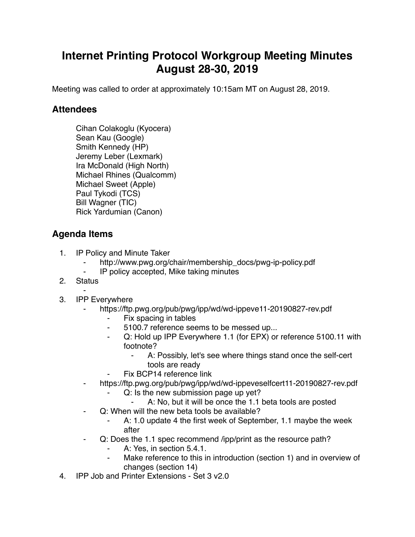## **Internet Printing Protocol Workgroup Meeting Minutes August 28-30, 2019**

Meeting was called to order at approximately 10:15am MT on August 28, 2019.

## **Attendees**

Cihan Colakoglu (Kyocera) Sean Kau (Google) Smith Kennedy (HP) Jeremy Leber (Lexmark) Ira McDonald (High North) Michael Rhines (Qualcomm) Michael Sweet (Apple) Paul Tykodi (TCS) Bill Wagner (TIC) Rick Yardumian (Canon)

## **Agenda Items**

- 1. IP Policy and Minute Taker
	- http://www.pwg.org/chair/membership\_docs/pwg-ip-policy.pdf
	- ⁃ IP policy accepted, Mike taking minutes
- 2. Status
- ⁃ 3. IPP Everywhere
	- https://ftp.pwg.org/pub/pwg/ipp/wd/wd-ippeve11-20190827-rev.pdf
		- Fix spacing in tables
		- 5100.7 reference seems to be messed up...
		- Q: Hold up IPP Everywhere 1.1 (for EPX) or reference 5100.11 with footnote?
			- ⁃ A: Possibly, let's see where things stand once the self-cert tools are ready
		- Fix BCP14 reference link
	- ⁃ https://ftp.pwg.org/pub/pwg/ipp/wd/wd-ippeveselfcert11-20190827-rev.pdf
		- Q: Is the new submission page up yet?
			- ⁃ A: No, but it will be once the 1.1 beta tools are posted
		- Q: When will the new beta tools be available?
			- A: 1.0 update 4 the first week of September, 1.1 maybe the week after
	- Q: Does the 1.1 spec recommend /ipp/print as the resource path?
		- A: Yes, in section 5.4.1.
		- Make reference to this in introduction (section 1) and in overview of changes (section 14)
- 4. IPP Job and Printer Extensions Set 3 v2.0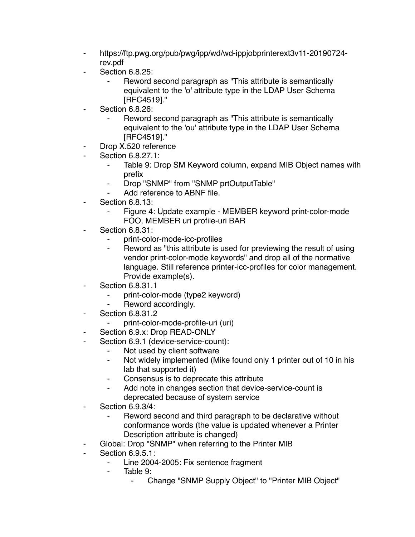- ⁃ https://ftp.pwg.org/pub/pwg/ipp/wd/wd-ippjobprinterext3v11-20190724 rev.pdf
- **Section 6.8.25:** 
	- Reword second paragraph as "This attribute is semantically equivalent to the 'o' attribute type in the LDAP User Schema [RFC4519]."
- **Section 6.8.26:** 
	- Reword second paragraph as "This attribute is semantically equivalent to the 'ou' attribute type in the LDAP User Schema [RFC4519]."
- Drop X.520 reference
- Section 6.8.27.1:
	- Table 9: Drop SM Keyword column, expand MIB Object names with prefix
	- ⁃ Drop "SNMP" from "SNMP prtOutputTable"
	- Add reference to ABNF file.
- **Section 6.8.13:** 
	- Figure 4: Update example MEMBER keyword print-color-mode FOO, MEMBER uri profile-uri BAR
- **Section 6.8.31:** 
	- ⁃ print-color-mode-icc-profiles
	- Reword as "this attribute is used for previewing the result of using vendor print-color-mode keywords" and drop all of the normative language. Still reference printer-icc-profiles for color management. Provide example(s).
- Section 6.8.31.1
	- ⁃ print-color-mode (type2 keyword)
	- Reword accordingly.
- ⁃ Section 6.8.31.2
	- ⁃ print-color-mode-profile-uri (uri)
- Section 6.9.x: Drop READ-ONLY
- Section 6.9.1 (device-service-count):
	- Not used by client software
	- ⁃ Not widely implemented (Mike found only 1 printer out of 10 in his lab that supported it)
	- Consensus is to deprecate this attribute
	- ⁃ Add note in changes section that device-service-count is deprecated because of system service
- ⁃ Section 6.9.3/4:
	- Reword second and third paragraph to be declarative without conformance words (the value is updated whenever a Printer Description attribute is changed)
- Global: Drop "SNMP" when referring to the Printer MIB
- **Section 6.9.5.1:** 
	- Line 2004-2005: Fix sentence fragment
	- Table 9:
		- ⁃ Change "SNMP Supply Object" to "Printer MIB Object"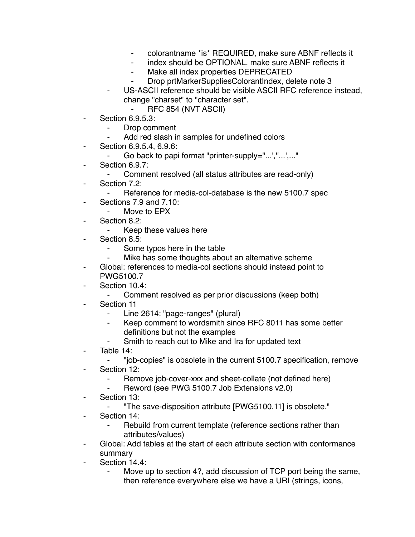- ⁃ colorantname \*is\* REQUIRED, make sure ABNF reflects it
- index should be OPTIONAL, make sure ABNF reflects it
- Make all index properties DEPRECATED
- Drop prtMarkerSuppliesColorantIndex, delete note 3
- ⁃ US-ASCII reference should be visible ASCII RFC reference instead, change "charset" to "character set".
	- ⁃ RFC 854 (NVT ASCII)
- Section 6.9.5.3:
	- Drop comment
		- Add red slash in samples for undefined colors
- ⁃ Section 6.9.5.4, 6.9.6:
	- ⁃ Go back to papi format "printer-supply=''...',''...',..."
- Section 6.9.7:
	- Comment resolved (all status attributes are read-only)
- ⁃ Section 7.2:
	- Reference for media-col-database is the new 5100.7 spec
- Sections 7.9 and 7.10:
	- ⁃ Move to EPX
- Section 8.2:
	- Keep these values here
- ⁃ Section 8.5:
	- ⁃ Some typos here in the table
	- Mike has some thoughts about an alternative scheme
- Global: references to media-col sections should instead point to PWG5100.7
- Section 10.4:
	- ⁃ Comment resolved as per prior discussions (keep both)
- Section 11
	- Line 2614: "page-ranges" (plural)
	- Keep comment to wordsmith since RFC 8011 has some better definitions but not the examples
	- Smith to reach out to Mike and Ira for updated text
- Table 14:
	- ⁃ "job-copies" is obsolete in the current 5100.7 specification, remove
- ⁃ Section 12:
	- Remove job-cover-xxx and sheet-collate (not defined here)
	- Reword (see PWG 5100.7 Job Extensions v2.0)
- ⁃ Section 13:
	- ⁃ "The save-disposition attribute [PWG5100.11] is obsolete."
- Section 14:
	- Rebuild from current template (reference sections rather than attributes/values)
- Global: Add tables at the start of each attribute section with conformance summary
- Section 14.4:
	- Move up to section 4?, add discussion of TCP port being the same, then reference everywhere else we have a URI (strings, icons,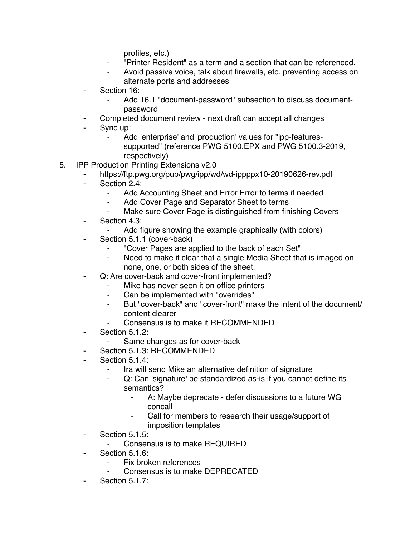profiles, etc.)

- ⁃ "Printer Resident" as a term and a section that can be referenced.
- Avoid passive voice, talk about firewalls, etc. preventing access on alternate ports and addresses
- ⁃ Section 16:
	- Add 16.1 "document-password" subsection to discuss documentpassword
- Completed document review next draft can accept all changes
- Sync up:
	- Add 'enterprise' and 'production' values for "ipp-featuressupported" (reference PWG 5100.EPX and PWG 5100.3-2019, respectively)
- 5. IPP Production Printing Extensions v2.0
	- https://ftp.pwg.org/pub/pwg/ipp/wd/wd-ippppx10-20190626-rev.pdf
	- Section 2.4:
		- Add Accounting Sheet and Error Error to terms if needed
		- ⁃ Add Cover Page and Separator Sheet to terms
		- Make sure Cover Page is distinguished from finishing Covers
	- ⁃ Section 4.3:
		- Add figure showing the example graphically (with colors)
	- Section 5.1.1 (cover-back)
		- ⁃ "Cover Pages are applied to the back of each Set"
		- Need to make it clear that a single Media Sheet that is imaged on none, one, or both sides of the sheet.
	- Q: Are cover-back and cover-front implemented?
		- Mike has never seen it on office printers
		- ⁃ Can be implemented with "overrides"
		- ⁃ But "cover-back" and "cover-front" make the intent of the document/ content clearer
		- Consensus is to make it RECOMMENDED
	- ⁃ Section 5.1.2:
		- Same changes as for cover-back
	- Section 5.1.3: RECOMMENDED
	- Section 5.1.4:
		- ⁃ Ira will send Mike an alternative definition of signature
		- Q: Can 'signature' be standardized as-is if you cannot define its semantics?
			- ⁃ A: Maybe deprecate defer discussions to a future WG concall
			- Call for members to research their usage/support of imposition templates
	- ⁃ Section 5.1.5:
		- Consensus is to make REQUIRED
	- Section 5.1.6:
		- Fix broken references
		- Consensus is to make DEPRECATED
	- Section 5.1.7: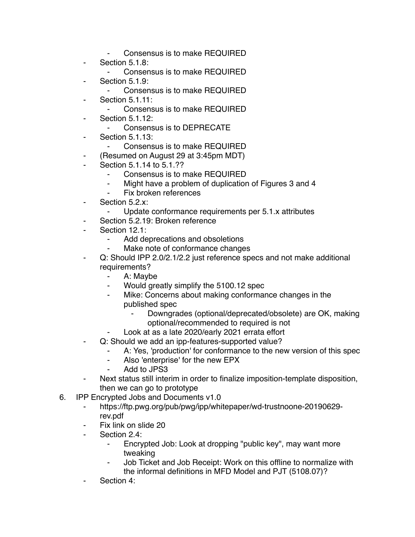- Consensus is to make REQUIRED
- Section 5.1.8:
	- Consensus is to make REQUIRED
- Section 5.1.9:
	- Consensus is to make REQUIRED
- Section 5.1.11:
	- ⁃ Consensus is to make REQUIRED
- **Section 5.1.12:** 
	- Consensus is to DEPRECATE
- ⁃ Section 5.1.13:
	- Consensus is to make REQUIRED
- ⁃ (Resumed on August 29 at 3:45pm MDT)
- Section 5.1.14 to 5.1.??
	- Consensus is to make REQUIRED
	- Might have a problem of duplication of Figures 3 and 4
	- Fix broken references
- Section 5.2.x:
	- ⁃ Update conformance requirements per 5.1.x attributes
	- Section 5.2.19: Broken reference
- Section 12.1:
	- Add deprecations and obsoletions
	- ⁃ Make note of conformance changes
- Q: Should IPP 2.0/2.1/2.2 just reference specs and not make additional requirements?
	- ⁃ A: Maybe
	- Would greatly simplify the 5100.12 spec
	- ⁃ Mike: Concerns about making conformance changes in the published spec
		- Downgrades (optional/deprecated/obsolete) are OK, making optional/recommended to required is not
		- Look at as a late 2020/early 2021 errata effort
- Q: Should we add an ipp-features-supported value?
	- A: Yes, 'production' for conformance to the new version of this spec
	- ⁃ Also 'enterprise' for the new EPX
	- Add to JPS3
- Next status still interim in order to finalize imposition-template disposition, then we can go to prototype
- 6. IPP Encrypted Jobs and Documents v1.0
	- https://ftp.pwg.org/pub/pwg/ipp/whitepaper/wd-trustnoone-20190629rev.pdf
	- Fix link on slide 20
	- ⁃ Section 2.4:
		- Encrypted Job: Look at dropping "public key", may want more tweaking
		- Job Ticket and Job Receipt: Work on this offline to normalize with the informal definitions in MFD Model and PJT (5108.07)?
	- Section 4: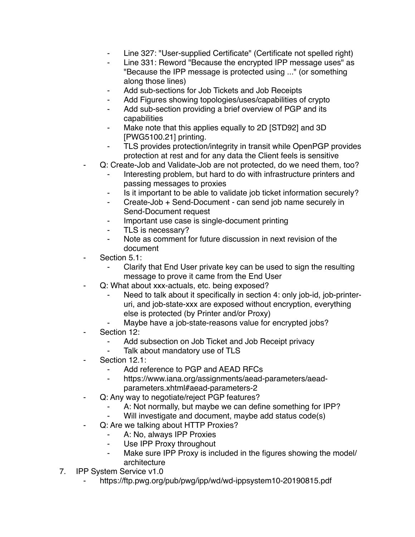- Line 327: "User-supplied Certificate" (Certificate not spelled right)
- Line 331: Reword "Because the encrypted IPP message uses" as "Because the IPP message is protected using ..." (or something along those lines)
- ⁃ Add sub-sections for Job Tickets and Job Receipts
- Add Figures showing topologies/uses/capabilities of crypto
- ⁃ Add sub-section providing a brief overview of PGP and its capabilities
- Make note that this applies equally to 2D [STD92] and 3D [PWG5100.21] printing.
- TLS provides protection/integrity in transit while OpenPGP provides protection at rest and for any data the Client feels is sensitive
- Q: Create-Job and Validate-Job are not protected, do we need them, too?
	- Interesting problem, but hard to do with infrastructure printers and passing messages to proxies
	- Is it important to be able to validate job ticket information securely?
	- ⁃ Create-Job + Send-Document can send job name securely in Send-Document request
	- Important use case is single-document printing
	- ⁃ TLS is necessary?
	- ⁃ Note as comment for future discussion in next revision of the document
- Section 5.1:
	- Clarify that End User private key can be used to sign the resulting message to prove it came from the End User
- ⁃ Q: What about xxx-actuals, etc. being exposed?
	- Need to talk about it specifically in section 4: only job-id, job-printeruri, and job-state-xxx are exposed without encryption, everything else is protected (by Printer and/or Proxy)
	- Maybe have a job-state-reasons value for encrypted jobs?
- Section 12:
	- ⁃ Add subsection on Job Ticket and Job Receipt privacy
	- Talk about mandatory use of TLS
- Section 12.1:
	- ⁃ Add reference to PGP and AEAD RFCs
	- https://www.iana.org/assignments/aead-parameters/aeadparameters.xhtml#aead-parameters-2
- Q: Any way to negotiate/reject PGP features?
	- A: Not normally, but maybe we can define something for IPP?
	- Will investigate and document, maybe add status code(s)
- Q: Are we talking about HTTP Proxies?
	- A: No, always IPP Proxies
	- Use IPP Proxy throughout
	- ⁃ Make sure IPP Proxy is included in the figures showing the model/ architecture
- 7. IPP System Service v1.0
	- ⁃ https://ftp.pwg.org/pub/pwg/ipp/wd/wd-ippsystem10-20190815.pdf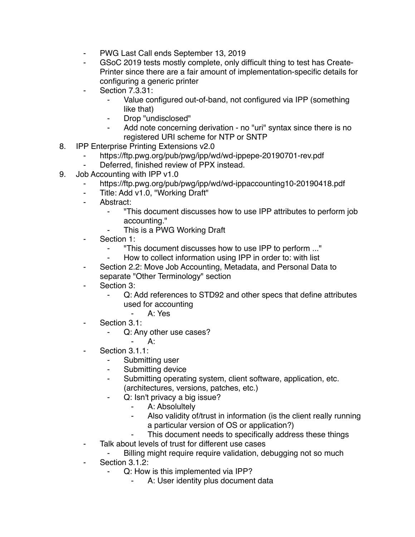- PWG Last Call ends September 13, 2019
- GSoC 2019 tests mostly complete, only difficult thing to test has Create-Printer since there are a fair amount of implementation-specific details for configuring a generic printer
- **Section 7.3.31:** 
	- Value configured out-of-band, not configured via IPP (something like that)
	- Drop "undisclosed"
	- Add note concerning derivation no "uri" syntax since there is no registered URI scheme for NTP or SNTP
- 8. IPP Enterprise Printing Extensions v2.0
	- https://ftp.pwg.org/pub/pwg/ipp/wd/wd-ippepe-20190701-rev.pdf
	- Deferred, finished review of PPX instead.
- 9. Job Accounting with IPP v1.0
	- https://ftp.pwg.org/pub/pwg/ipp/wd/wd-ippaccounting10-20190418.pdf
	- ⁃ Title: Add v1.0, "Working Draft"
	- ⁃ Abstract:
		- ⁃ "This document discusses how to use IPP attributes to perform job accounting."
		- This is a PWG Working Draft
	- ⁃ Section 1:
		- ⁃ "This document discusses how to use IPP to perform ..."
			- How to collect information using IPP in order to: with list
	- Section 2.2: Move Job Accounting, Metadata, and Personal Data to separate "Other Terminology" section
	- Section 3:
		- ⁃ Q: Add references to STD92 and other specs that define attributes used for accounting
			- ⁃ A: Yes
	- Section 3.1:
		- ⁃ Q: Any other use cases?
			- $A$ :
	- Section 3.1.1:
		- ⁃ Submitting user
		- Submitting device
		- ⁃ Submitting operating system, client software, application, etc. (architectures, versions, patches, etc.)
		- ⁃ Q: Isn't privacy a big issue?
			- ⁃ A: Absolultely
			- Also validity of/trust in information (is the client really running a particular version of OS or application?)
			- ⁃ This document needs to specifically address these things
	- Talk about levels of trust for different use cases
		- Billing might require require validation, debugging not so much
	- ⁃ Section 3.1.2:
		- Q: How is this implemented via IPP?
			- A: User identity plus document data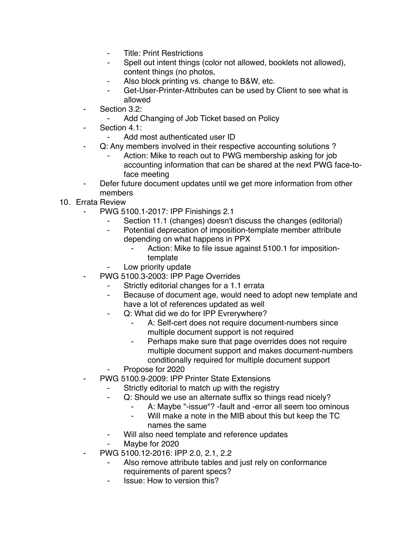- **Title: Print Restrictions**
- Spell out intent things (color not allowed, booklets not allowed), content things (no photos,
- Also block printing vs. change to B&W, etc.
- ⁃ Get-User-Printer-Attributes can be used by Client to see what is allowed
- Section 3.2:
	- ⁃ Add Changing of Job Ticket based on Policy
- Section 4.1:
	- Add most authenticated user ID
- Q: Any members involved in their respective accounting solutions?
	- Action: Mike to reach out to PWG membership asking for job accounting information that can be shared at the next PWG face-toface meeting
- ⁃ Defer future document updates until we get more information from other members
- 10. Errata Review
	- ⁃ PWG 5100.1-2017: IPP Finishings 2.1
		- Section 11.1 (changes) doesn't discuss the changes (editorial)
		- ⁃ Potential deprecation of imposition-template member attribute depending on what happens in PPX
			- Action: Mike to file issue against 5100.1 for impositiontemplate
			- Low priority update
	- PWG 5100.3-2003: IPP Page Overrides
		- Strictly editorial changes for a 1.1 errata
		- ⁃ Because of document age, would need to adopt new template and have a lot of references updated as well
		- Q: What did we do for IPP Evrerywhere?
			- A: Self-cert does not require document-numbers since multiple document support is not required
			- ⁃ Perhaps make sure that page overrides does not require multiple document support and makes document-numbers conditionally required for multiple document support
		- ⁃ Propose for 2020
		- PWG 5100.9-2009: IPP Printer State Extensions
			- Strictly editorial to match up with the registry
				- ⁃ Q: Should we use an alternate suffix so things read nicely?
					- A: Maybe "-issue"? -fault and -error all seem too ominous
					- Will make a note in the MIB about this but keep the TC names the same
				- Will also need template and reference updates
				- Maybe for 2020
	- ⁃ PWG 5100.12-2016: IPP 2.0, 2.1, 2.2
		- Also remove attribute tables and just rely on conformance requirements of parent specs?
		- **Issue: How to version this?**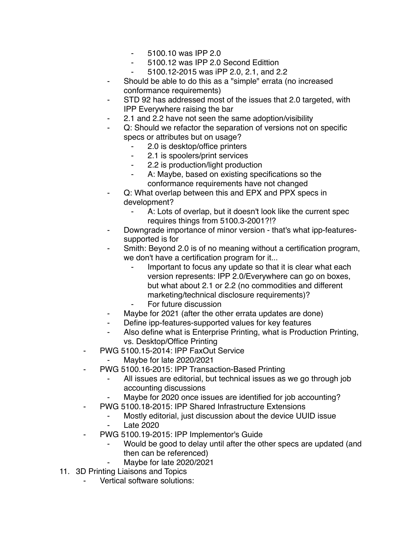- ⁃ 5100.10 was IPP 2.0
- ⁃ 5100.12 was IPP 2.0 Second Edittion
- ⁃ 5100.12-2015 was iPP 2.0, 2.1, and 2.2
- ⁃ Should be able to do this as a "simple" errata (no increased conformance requirements)
- STD 92 has addressed most of the issues that 2.0 targeted, with IPP Everywhere raising the bar
- 2.1 and 2.2 have not seen the same adoption/visibility
- Q: Should we refactor the separation of versions not on specific specs or attributes but on usage?
	- ⁃ 2.0 is desktop/office printers
	- ⁃ 2.1 is spoolers/print services
	- 2.2 is production/light production
	- A: Maybe, based on existing specifications so the conformance requirements have not changed
- Q: What overlap between this and EPX and PPX specs in development?
	- ⁃ A: Lots of overlap, but it doesn't look like the current spec requires things from 5100.3-2001?!?
- ⁃ Downgrade importance of minor version that's what ipp-featuressupported is for
- Smith: Beyond 2.0 is of no meaning without a certification program, we don't have a certification program for it...
	- Important to focus any update so that it is clear what each version represents: IPP 2.0/Everywhere can go on boxes, but what about 2.1 or 2.2 (no commodities and different marketing/technical disclosure requirements)?
	- For future discussion
- Maybe for 2021 (after the other errata updates are done)
- ⁃ Define ipp-features-supported values for key features
- ⁃ Also define what is Enterprise Printing, what is Production Printing, vs. Desktop/Office Printing
- PWG 5100.15-2014: IPP FaxOut Service
	- Maybe for late 2020/2021
- PWG 5100.16-2015: IPP Transaction-Based Printing
	- All issues are editorial, but technical issues as we go through job accounting discussions
	- Maybe for 2020 once issues are identified for job accounting?
- PWG 5100.18-2015: IPP Shared Infrastructure Extensions
	- ⁃ Mostly editorial, just discussion about the device UUID issue **Late 2020**
- PWG 5100.19-2015: IPP Implementor's Guide
	- Would be good to delay until after the other specs are updated (and then can be referenced)
	- Maybe for late 2020/2021
- 11. 3D Printing Liaisons and Topics
	- Vertical software solutions: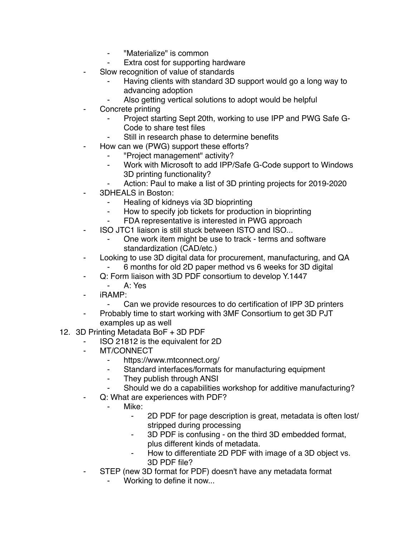- ⁃ "Materialize" is common
- Extra cost for supporting hardware
- Slow recognition of value of standards
	- Having clients with standard 3D support would go a long way to advancing adoption
	- Also getting vertical solutions to adopt would be helpful
- Concrete printing
	- Project starting Sept 20th, working to use IPP and PWG Safe G-Code to share test files
	- Still in research phase to determine benefits
- How can we (PWG) support these efforts?
	- ⁃ "Project management" activity?
	- ⁃ Work with Microsoft to add IPP/Safe G-Code support to Windows 3D printing functionality?
	- Action: Paul to make a list of 3D printing projects for 2019-2020
- ⁃ 3DHEALS in Boston:
	- ⁃ Healing of kidneys via 3D bioprinting
	- How to specify job tickets for production in bioprinting
	- ⁃ FDA representative is interested in PWG approach
- ⁃ ISO JTC1 liaison is still stuck between ISTO and ISO...
	- One work item might be use to track terms and software standardization (CAD/etc.)
- Looking to use 3D digital data for procurement, manufacturing, and QA ⁃ 6 months for old 2D paper method vs 6 weeks for 3D digital
- ⁃ Q: Form liaison with 3D PDF consortium to develop Y.1447
	- ⁃ A: Yes
- iRAMP:
	- ⁃ Can we provide resources to do certification of IPP 3D printers
- Probably time to start working with 3MF Consortium to get 3D PJT examples up as well
- 12. 3D Printing Metadata BoF + 3D PDF
	- ⁃ ISO 21812 is the equivalent for 2D
	- MT/CONNECT
		- ⁃ https://www.mtconnect.org/
		- ⁃ Standard interfaces/formats for manufacturing equipment
		- They publish through ANSI
		- Should we do a capabilities workshop for additive manufacturing?
	- Q: What are experiences with PDF?
		- Mike:
			- ⁃ 2D PDF for page description is great, metadata is often lost/ stripped during processing
			- ⁃ 3D PDF is confusing on the third 3D embedded format, plus different kinds of metadata.
			- ⁃ How to differentiate 2D PDF with image of a 3D object vs. 3D PDF file?
	- STEP (new 3D format for PDF) doesn't have any metadata format
		- Working to define it now...